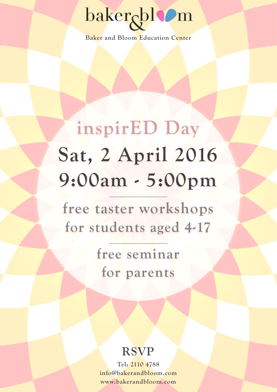# baker<sub>c</sub>blom

**Baker and Bloom Education Center**

## **inspirED Day Sat, 2 April 2016 9:00am - 5:00pm**

**free taster workshops for students aged 4-17** 

> **free seminar for parents**

#### **RSVP**

**Tel: 2110 4788 info@bakerandbloom.com www.bakerandbloom.com**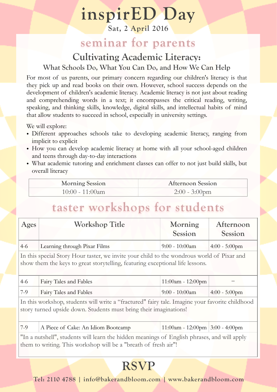### **inspirED Day**

**Sat, 2 April 2016**

#### **seminar for parents**

#### **Cultivating Academic Literacy: What Schools Do, What You Can Do, and How We Can Help**

For most of us parents, our primary concern regarding our children's literacy is that they pick up and read books on their own. However, school success depends on the development of children's academic literacy. Academic literacy is not just about reading and comprehending words in a text; it encompasses the critical reading, writing, speaking, and thinking skills, knowledge, digital skills, and intellectual habits of mind that allow students to succeed in school, especially in university settings.

We will explore:

- Different approaches schools take to developing academic literacy, ranging from implicit to explicit
- How you can develop academic literacy at home with all your school-aged children and teens through day-to-day interactions
- What academic tutoring and enrichment classes can offer to not just build skills, but overall literacy

| <b>Morning Session</b> | <b>Afternoon Session</b> |
|------------------------|--------------------------|
| $10:00 - 11:00$ am     | $2:00 - 3:00$ pm         |

#### **taster workshops for students**

| Ages                                                                                      | <b>Workshop Title</b>        | Morning<br>Session | Afternoon<br>Session |
|-------------------------------------------------------------------------------------------|------------------------------|--------------------|----------------------|
| $4-6$                                                                                     | Learning through Pixar Films | $9:00 - 10:00$ am  | $4:00 - 5:00$ pm     |
| In this special Story Hour tester we invite your child to the wondrous world of Diver and |                              |                    |                      |

In this special Story Hour taster, we invite your child to the wondrous world of Pixar and show them the keys to great storytelling, featuring exceptional life lessons.

| $4-6$ | Fairy Tales and Fables | $11:00$ am - 12:00pm |                  |
|-------|------------------------|----------------------|------------------|
| $7-9$ | Fairy Tales and Fables | $9:00 - 10:00$ am    | $4:00 - 5:00$ pm |

In this workshop, students will write a "fractured" fairy tale. Imagine your favorite childhood story turned upside down. Students must bring their imaginations!

| $7-9$ | A Piece of Cake: An Idiom Bootcamp | $11:00$ am - 12:00pm 3:00 - 4:00pm |  |
|-------|------------------------------------|------------------------------------|--|
|-------|------------------------------------|------------------------------------|--|

"In a nutshell", students will learn the hidden meanings of English phrases, and will apply them to writing. This workshop will be a "breath of fresh air"!

#### **RSVP**

**Tel: 2110 4788 | info@bakerandbloom.com | www.bakerandbloom.com**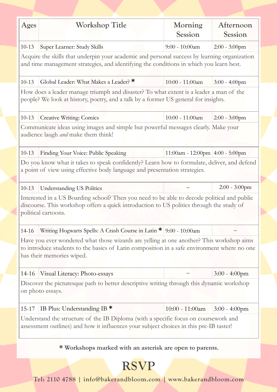| Ages                                                                                                                                                                                                                 | Workshop Title                                                    | Morning<br>Session              | Afternoon<br>Session |  |
|----------------------------------------------------------------------------------------------------------------------------------------------------------------------------------------------------------------------|-------------------------------------------------------------------|---------------------------------|----------------------|--|
| $10 - 13$                                                                                                                                                                                                            | Super Learner: Study Skills                                       | $9:00 - 10:00$ am               | $2:00 - 3:00$ pm     |  |
| Acquire the skills that underpin your academic and personal success by learning organization<br>and time management strategies, and identifying the conditions in which you learn best.                              |                                                                   |                                 |                      |  |
| $10 - 13$                                                                                                                                                                                                            | Global Leader: What Makes a Leader? *                             | 10:00 - 11:00am                 | $3:00 - 4:00$ pm     |  |
| How does a leader manage triumph and disaster? To what extent is a leader a man of the<br>people? We look at history, poetry, and a talk by a former US general for insights.                                        |                                                                   |                                 |                      |  |
| $10 - 13$                                                                                                                                                                                                            | <b>Creative Writing: Comics</b>                                   | $10:00 - 11:00$ am              | $2:00 - 3:00$ pm     |  |
| Communicate ideas using images and simple but powerful messages clearly. Make your<br>audience laugh <i>and</i> make them think!                                                                                     |                                                                   |                                 |                      |  |
| $10 - 13$                                                                                                                                                                                                            | Finding Your Voice: Public Speaking                               | 11:00am - 12:00pm 4:00 - 5:00pm |                      |  |
| Do you know what it takes to speak confidently? Learn how to formulate, deliver, and defend<br>a point of view using effective body language and presentation strategies.                                            |                                                                   |                                 |                      |  |
| $10 - 13$                                                                                                                                                                                                            | <b>Understanding US Politics</b>                                  |                                 | $2:00 - 3:00$ pm     |  |
| Interested in a US Boarding school? Then you need to be able to decode political and public<br>discourse. This workshop offers a quick introduction to US politics through the study of<br>political cartoons.       |                                                                   |                                 |                      |  |
| $14 - 16$                                                                                                                                                                                                            | Writing Hogwarts Spells: A Crash Course in Latin * 9:00 - 10:00am |                                 |                      |  |
| Have you ever wondered what those wizards are yelling at one another? This workshop aims<br>to introduce students to the basics of Latin composition in a safe environment where no one<br>has their memories wiped. |                                                                   |                                 |                      |  |
| 14-16                                                                                                                                                                                                                | Visual Literacy: Photo-essays                                     |                                 | $3:00 - 4:00$ pm     |  |
| Discover the picturesque path to better descriptive writing through this dynamic workshop<br>on photo essays.                                                                                                        |                                                                   |                                 |                      |  |
| $15 - 17$                                                                                                                                                                                                            | IB Plus: Understanding IB *                                       | $10:00 - 11:00$ am              | $3:00 - 4:00$ pm     |  |
| Understand the structure of the IB Diploma (with a specific focus on coursework and<br>assessment outlines) and how it influences your subject choices in this pre-IB taster!                                        |                                                                   |                                 |                      |  |

**\* Workshops marked with an asterisk are open to parents.**

**RSVP** 

**Tel: 2110 4788 | info@bakerandbloom.com | www.bakerandbloom.com**